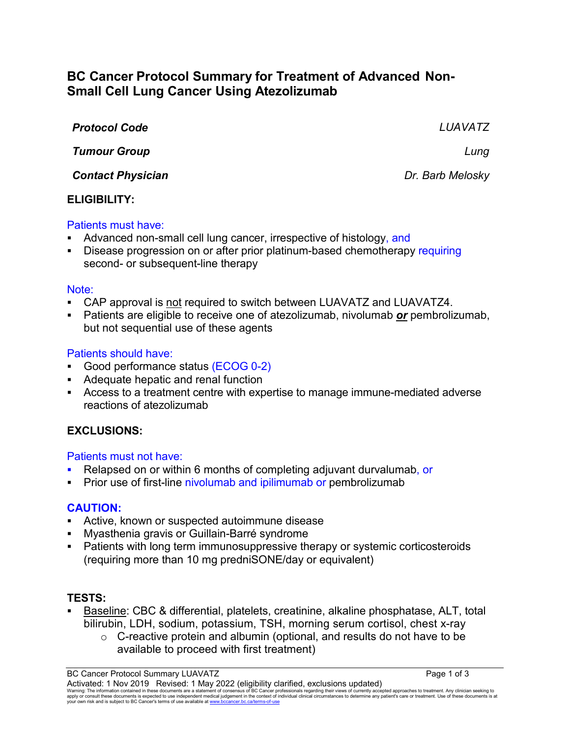# **BC Cancer Protocol Summary for Treatment of Advanced Non-Small Cell Lung Cancer Using Atezolizumab**

| <b>Protocol Code</b>     | LUAVATZ          |
|--------------------------|------------------|
| <b>Tumour Group</b>      | Lung             |
| <b>Contact Physician</b> | Dr. Barb Melosky |
| <b>ELIGIBILITY:</b>      |                  |

#### Patients must have:

- Advanced non-small cell lung cancer, irrespective of histology, and
- Disease progression on or after prior platinum-based chemotherapy requiring second- or subsequent-line therapy

#### Note:

- CAP approval is not required to switch between LUAVATZ and LUAVATZ4.
- Patients are eligible to receive one of atezolizumab, nivolumab *or* pembrolizumab, but not sequential use of these agents

#### Patients should have:

- Good performance status (ECOG 0-2)
- Adequate hepatic and renal function
- Access to a treatment centre with expertise to manage immune-mediated adverse reactions of atezolizumab

# **EXCLUSIONS:**

### Patients must not have:

- Relapsed on or within 6 months of completing adjuvant durvalumab, or
- **Prior use of first-line nivolumab and ipilimumab or pembrolizumab**

### **CAUTION:**

- Active, known or suspected autoimmune disease
- Myasthenia gravis or Guillain-Barré syndrome
- Patients with long term immunosuppressive therapy or systemic corticosteroids (requiring more than 10 mg predniSONE/day or equivalent)

### **TESTS:**

- Baseline: CBC & differential, platelets, creatinine, alkaline phosphatase, ALT, total bilirubin, LDH, sodium, potassium, TSH, morning serum cortisol, chest x-ray
	- $\circ$  C-reactive protein and albumin (optional, and results do not have to be available to proceed with first treatment)

BC Cancer Protocol Summary LUAVATZ **Page 1 of 3** Activated: 1 Nov 2019 Revised: 1 May 2022 (eligibility clarified, exclusions updated) Warning: The information contained in these documents are a statement of consensus of BC Cancer professionals regarding their views of currently accepted approaches to treatment. Any clinician seeking to<br>apply or consult t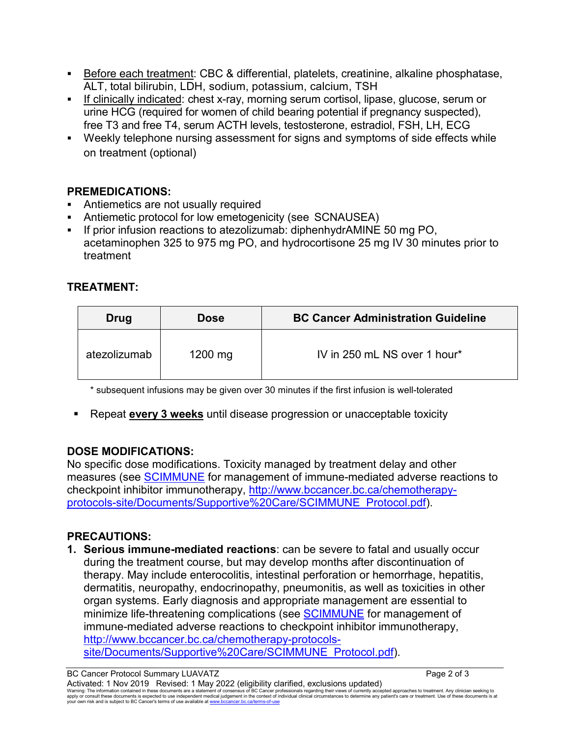- Before each treatment: CBC & differential, platelets, creatinine, alkaline phosphatase, ALT, total bilirubin, LDH, sodium, potassium, calcium, TSH
- If clinically indicated: chest x-ray, morning serum cortisol, lipase, glucose, serum or urine HCG (required for women of child bearing potential if pregnancy suspected), free T3 and free T4, serum ACTH levels, testosterone, estradiol, FSH, LH, ECG
- Weekly telephone nursing assessment for signs and symptoms of side effects while on treatment (optional)

# **PREMEDICATIONS:**

- Antiemetics are not usually required
- Antiemetic protocol for low emetogenicity (see SCNAUSEA)
- If prior infusion reactions to atezolizumab: diphenhydrAMINE 50 mg PO, acetaminophen 325 to 975 mg PO, and hydrocortisone 25 mg IV 30 minutes prior to treatment

# **TREATMENT:**

| Drug         | <b>Dose</b> | <b>BC Cancer Administration Guideline</b> |
|--------------|-------------|-------------------------------------------|
| atezolizumab | $1200$ mg   | IV in 250 mL NS over 1 hour*              |

\* subsequent infusions may be given over 30 minutes if the first infusion is well-tolerated

Repeat **every 3 weeks** until disease progression or unacceptable toxicity

# **DOSE MODIFICATIONS:**

No specific dose modifications. Toxicity managed by treatment delay and other measures (see [SCIMMUNE](http://www.bccancer.bc.ca/chemotherapy-protocols-site/Documents/Supportive%20Care/SCIMMUNE_Protocol.pdf) for management of immune-mediated adverse reactions to checkpoint inhibitor immunotherapy, [http://www.bccancer.bc.ca/chemotherapy](http://www.bccancer.bc.ca/chemotherapy-protocols-site/Documents/Supportive%20Care/SCIMMUNE_Protocol.pdf)[protocols-site/Documents/Supportive%20Care/SCIMMUNE\\_Protocol.pdf\)](http://www.bccancer.bc.ca/chemotherapy-protocols-site/Documents/Supportive%20Care/SCIMMUNE_Protocol.pdf).

# **PRECAUTIONS:**

**1. Serious immune-mediated reactions**: can be severe to fatal and usually occur during the treatment course, but may develop months after discontinuation of therapy. May include enterocolitis, intestinal perforation or hemorrhage, hepatitis, dermatitis, neuropathy, endocrinopathy, pneumonitis, as well as toxicities in other organ systems. Early diagnosis and appropriate management are essential to minimize life-threatening complications (see **SCIMMUNE** for management of immune-mediated adverse reactions to checkpoint inhibitor immunotherapy, [http://www.bccancer.bc.ca/chemotherapy-protocols](http://www.bccancer.bc.ca/chemotherapy-protocols-site/Documents/Supportive%20Care/SCIMMUNE_Protocol.pdf)[site/Documents/Supportive%20Care/SCIMMUNE\\_Protocol.pdf\)](http://www.bccancer.bc.ca/chemotherapy-protocols-site/Documents/Supportive%20Care/SCIMMUNE_Protocol.pdf).